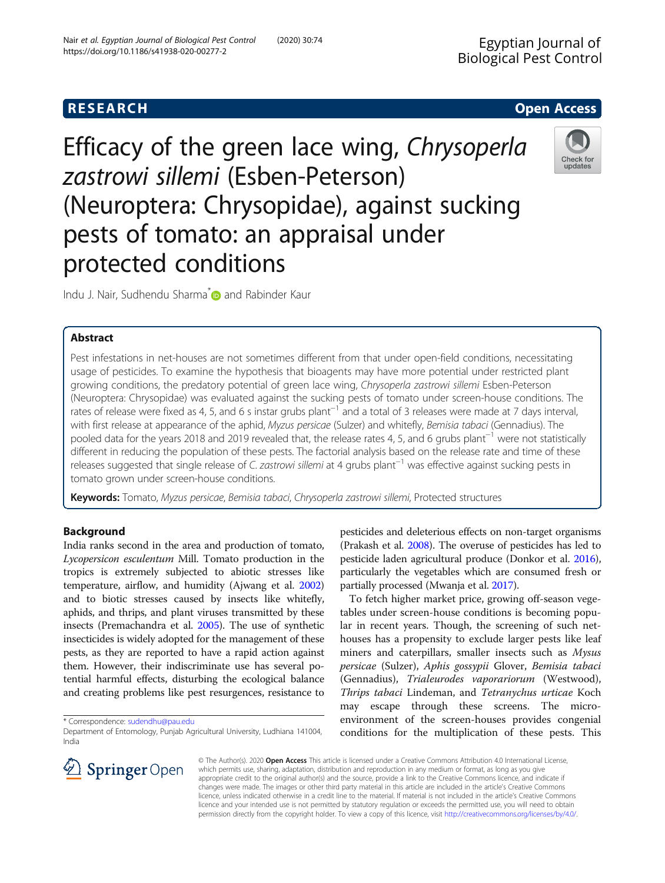# **RESEARCH CHEAR CHEAR CHEAR CHEAR CHEAR CHEAR CHEAR CHEAR CHEAR CHEAR CHEAR CHEAR CHEAR CHEAR CHEAR CHEAR CHEAR**

Efficacy of the green lace wing, Chrysoperla zastrowi sillemi (Esben-Peterson) (Neuroptera: Chrysopidae), against sucking pests of tomato: an appraisal under protected conditions



Indu J. Nair, Sudhendu Sharma<sup>[\\*](http://orcid.org/0000-0002-2034-827X)</sup> and Rabinder Kaur

# Abstract

Pest infestations in net-houses are not sometimes different from that under open-field conditions, necessitating usage of pesticides. To examine the hypothesis that bioagents may have more potential under restricted plant growing conditions, the predatory potential of green lace wing, Chrysoperla zastrowi sillemi Esben-Peterson (Neuroptera: Chrysopidae) was evaluated against the sucking pests of tomato under screen-house conditions. The rates of release were fixed as 4, 5, and 6 s instar grubs plant<sup>-1</sup> and a total of 3 releases were made at 7 days interval, with first release at appearance of the aphid, Myzus persicae (Sulzer) and whitefly, Bemisia tabaci (Gennadius). The pooled data for the years 2018 and 2019 revealed that, the release rates 4, 5, and 6 grubs plant<sup>−1</sup> were not statistically different in reducing the population of these pests. The factorial analysis based on the release rate and time of these releases suggested that single release of C. zastrowi sillemi at 4 grubs plant−<sup>1</sup> was effective against sucking pests in tomato grown under screen-house conditions.

Keywords: Tomato, Myzus persicae, Bemisia tabaci, Chrysoperla zastrowi sillemi, Protected structures

# Background

India ranks second in the area and production of tomato, Lycopersicon esculentum Mill. Tomato production in the tropics is extremely subjected to abiotic stresses like temperature, airflow, and humidity (Ajwang et al. [2002](#page-4-0)) and to biotic stresses caused by insects like whitefly, aphids, and thrips, and plant viruses transmitted by these insects (Premachandra et al. [2005](#page-5-0)). The use of synthetic insecticides is widely adopted for the management of these pests, as they are reported to have a rapid action against them. However, their indiscriminate use has several potential harmful effects, disturbing the ecological balance and creating problems like pest resurgences, resistance to

\* Correspondence: [sudendhu@pau.edu](mailto:sudendhu@pau.edu)



To fetch higher market price, growing off-season vegetables under screen-house conditions is becoming popular in recent years. Though, the screening of such nethouses has a propensity to exclude larger pests like leaf miners and caterpillars, smaller insects such as Mysus persicae (Sulzer), Aphis gossypii Glover, Bemisia tabaci (Gennadius), Trialeurodes vaporariorum (Westwood), Thrips tabaci Lindeman, and Tetranychus urticae Koch may escape through these screens. The microenvironment of the screen-houses provides congenial conditions for the multiplication of these pests. This



© The Author(s). 2020 Open Access This article is licensed under a Creative Commons Attribution 4.0 International License, which permits use, sharing, adaptation, distribution and reproduction in any medium or format, as long as you give appropriate credit to the original author(s) and the source, provide a link to the Creative Commons licence, and indicate if changes were made. The images or other third party material in this article are included in the article's Creative Commons licence, unless indicated otherwise in a credit line to the material. If material is not included in the article's Creative Commons licence and your intended use is not permitted by statutory regulation or exceeds the permitted use, you will need to obtain permission directly from the copyright holder. To view a copy of this licence, visit <http://creativecommons.org/licenses/by/4.0/>.

Department of Entomology, Punjab Agricultural University, Ludhiana 141004, India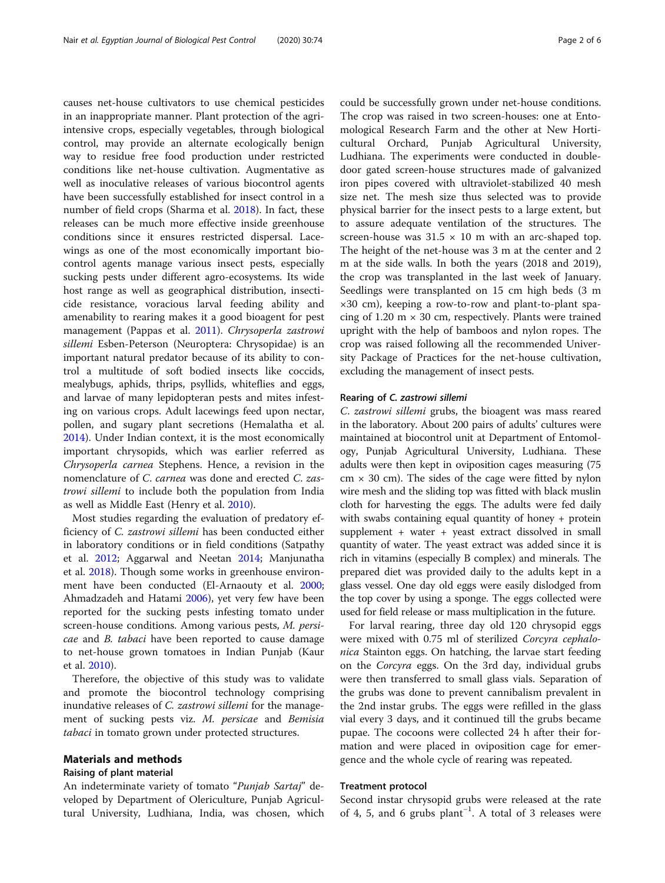causes net-house cultivators to use chemical pesticides in an inappropriate manner. Plant protection of the agriintensive crops, especially vegetables, through biological control, may provide an alternate ecologically benign way to residue free food production under restricted conditions like net-house cultivation. Augmentative as well as inoculative releases of various biocontrol agents have been successfully established for insect control in a number of field crops (Sharma et al. [2018](#page-5-0)). In fact, these releases can be much more effective inside greenhouse conditions since it ensures restricted dispersal. Lacewings as one of the most economically important biocontrol agents manage various insect pests, especially sucking pests under different agro-ecosystems. Its wide host range as well as geographical distribution, insecticide resistance, voracious larval feeding ability and amenability to rearing makes it a good bioagent for pest management (Pappas et al. [2011](#page-5-0)). Chrysoperla zastrowi sillemi Esben-Peterson (Neuroptera: Chrysopidae) is an important natural predator because of its ability to control a multitude of soft bodied insects like coccids, mealybugs, aphids, thrips, psyllids, whiteflies and eggs, and larvae of many lepidopteran pests and mites infesting on various crops. Adult lacewings feed upon nectar, pollen, and sugary plant secretions (Hemalatha et al. [2014](#page-5-0)). Under Indian context, it is the most economically important chrysopids, which was earlier referred as Chrysoperla carnea Stephens. Hence, a revision in the nomenclature of C. carnea was done and erected C. zastrowi sillemi to include both the population from India as well as Middle East (Henry et al. [2010\)](#page-5-0).

Most studies regarding the evaluation of predatory efficiency of C. zastrowi sillemi has been conducted either in laboratory conditions or in field conditions (Satpathy et al. [2012;](#page-5-0) Aggarwal and Neetan [2014](#page-4-0); Manjunatha et al. [2018](#page-5-0)). Though some works in greenhouse environment have been conducted (El-Arnaouty et al. [2000](#page-5-0); Ahmadzadeh and Hatami [2006](#page-4-0)), yet very few have been reported for the sucking pests infesting tomato under screen-house conditions. Among various pests, M. persicae and B. tabaci have been reported to cause damage to net-house grown tomatoes in Indian Punjab (Kaur et al. [2010\)](#page-5-0).

Therefore, the objective of this study was to validate and promote the biocontrol technology comprising inundative releases of C. zastrowi sillemi for the management of sucking pests viz. M. persicae and Bemisia tabaci in tomato grown under protected structures.

### Materials and methods

#### Raising of plant material

An indeterminate variety of tomato "Punjab Sartaj" developed by Department of Olericulture, Punjab Agricultural University, Ludhiana, India, was chosen, which

could be successfully grown under net-house conditions. The crop was raised in two screen-houses: one at Entomological Research Farm and the other at New Horticultural Orchard, Punjab Agricultural University, Ludhiana. The experiments were conducted in doubledoor gated screen-house structures made of galvanized iron pipes covered with ultraviolet-stabilized 40 mesh size net. The mesh size thus selected was to provide physical barrier for the insect pests to a large extent, but to assure adequate ventilation of the structures. The screen-house was  $31.5 \times 10$  m with an arc-shaped top. The height of the net-house was 3 m at the center and 2 m at the side walls. In both the years (2018 and 2019), the crop was transplanted in the last week of January. Seedlings were transplanted on 15 cm high beds (3 m ×30 cm), keeping a row-to-row and plant-to-plant spacing of 1.20 m  $\times$  30 cm, respectively. Plants were trained upright with the help of bamboos and nylon ropes. The crop was raised following all the recommended University Package of Practices for the net-house cultivation, excluding the management of insect pests.

#### Rearing of C. zastrowi sillemi

C. zastrowi sillemi grubs, the bioagent was mass reared in the laboratory. About 200 pairs of adults' cultures were maintained at biocontrol unit at Department of Entomology, Punjab Agricultural University, Ludhiana. These adults were then kept in oviposition cages measuring (75  $cm \times 30$  cm). The sides of the cage were fitted by nylon wire mesh and the sliding top was fitted with black muslin cloth for harvesting the eggs. The adults were fed daily with swabs containing equal quantity of honey + protein supplement + water + yeast extract dissolved in small quantity of water. The yeast extract was added since it is rich in vitamins (especially B complex) and minerals. The prepared diet was provided daily to the adults kept in a glass vessel. One day old eggs were easily dislodged from the top cover by using a sponge. The eggs collected were used for field release or mass multiplication in the future.

For larval rearing, three day old 120 chrysopid eggs were mixed with 0.75 ml of sterilized Corcyra cephalonica Stainton eggs. On hatching, the larvae start feeding on the Corcyra eggs. On the 3rd day, individual grubs were then transferred to small glass vials. Separation of the grubs was done to prevent cannibalism prevalent in the 2nd instar grubs. The eggs were refilled in the glass vial every 3 days, and it continued till the grubs became pupae. The cocoons were collected 24 h after their formation and were placed in oviposition cage for emergence and the whole cycle of rearing was repeated.

# Treatment protocol

Second instar chrysopid grubs were released at the rate of 4, 5, and 6 grubs plant−<sup>1</sup> . A total of 3 releases were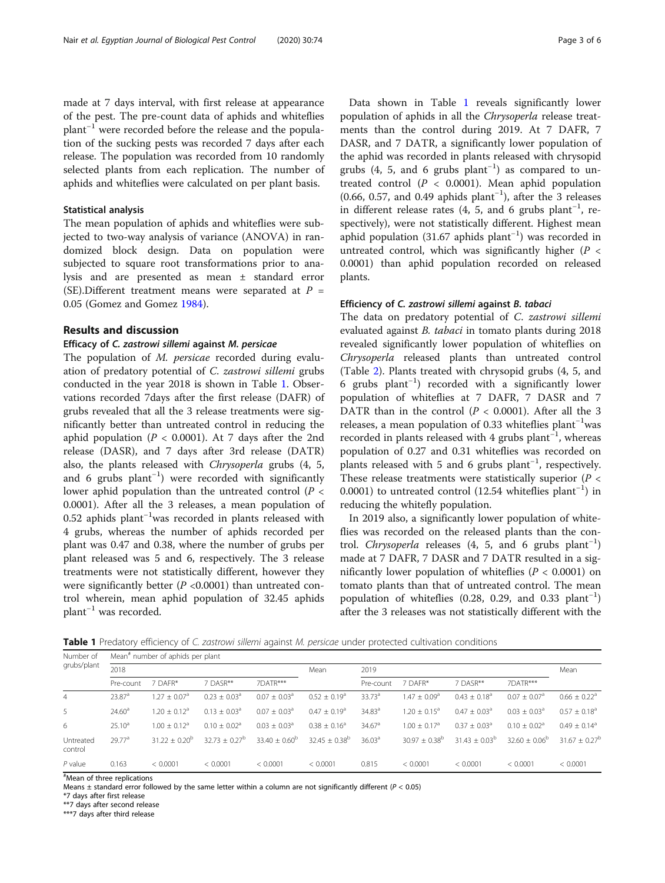made at 7 days interval, with first release at appearance of the pest. The pre-count data of aphids and whiteflies plant−<sup>1</sup> were recorded before the release and the population of the sucking pests was recorded 7 days after each release. The population was recorded from 10 randomly selected plants from each replication. The number of aphids and whiteflies were calculated on per plant basis.

#### Statistical analysis

The mean population of aphids and whiteflies were subjected to two-way analysis of variance (ANOVA) in randomized block design. Data on population were subjected to square root transformations prior to analysis and are presented as mean ± standard error (SE).Different treatment means were separated at  $P =$ 0.05 (Gomez and Gomez [1984\)](#page-5-0).

# Results and discussion

### Efficacy of C. zastrowi sillemi against M. persicae

The population of M. persicae recorded during evaluation of predatory potential of C. zastrowi sillemi grubs conducted in the year 2018 is shown in Table 1. Observations recorded 7days after the first release (DAFR) of grubs revealed that all the 3 release treatments were significantly better than untreated control in reducing the aphid population ( $P < 0.0001$ ). At 7 days after the 2nd release (DASR), and 7 days after 3rd release (DATR) also, the plants released with Chrysoperla grubs (4, 5, and 6 grubs plant−<sup>1</sup> ) were recorded with significantly lower aphid population than the untreated control  $(P \leq$ 0.0001). After all the 3 releases, a mean population of 0.52 aphids plant−<sup>1</sup> was recorded in plants released with 4 grubs, whereas the number of aphids recorded per plant was 0.47 and 0.38, where the number of grubs per plant released was 5 and 6, respectively. The 3 release treatments were not statistically different, however they were significantly better ( $P < 0.0001$ ) than untreated control wherein, mean aphid population of 32.45 aphids plant−<sup>1</sup> was recorded.

Data shown in Table 1 reveals significantly lower population of aphids in all the Chrysoperla release treatments than the control during 2019. At 7 DAFR, 7 DASR, and 7 DATR, a significantly lower population of the aphid was recorded in plants released with chrysopid grubs (4, 5, and 6 grubs plant<sup>-1</sup>) as compared to untreated control  $(P < 0.0001)$ . Mean aphid population (0.66, 0.57, and 0.49 aphids plant−<sup>1</sup> ), after the 3 releases in different release rates  $(4, 5,$  and 6 grubs plant<sup>-1</sup>, re-

spectively), were not statistically different. Highest mean aphid population (31.67 aphids plant<sup>-1</sup>) was recorded in untreated control, which was significantly higher ( $P <$ 0.0001) than aphid population recorded on released plants.

# Efficiency of C. zastrowi sillemi against B. tabaci

The data on predatory potential of C. zastrowi sillemi evaluated against B. tabaci in tomato plants during 2018 revealed significantly lower population of whiteflies on Chrysoperla released plants than untreated control (Table [2](#page-3-0)). Plants treated with chrysopid grubs (4, 5, and 6 grubs plant−<sup>1</sup> ) recorded with a significantly lower population of whiteflies at 7 DAFR, 7 DASR and 7 DATR than in the control ( $P < 0.0001$ ). After all the 3 releases, a mean population of 0.33 whiteflies plant−<sup>1</sup> was recorded in plants released with 4 grubs plant<sup>-1</sup>, whereas population of 0.27 and 0.31 whiteflies was recorded on plants released with 5 and 6 grubs plant<sup>-1</sup>, respectively. These release treatments were statistically superior ( $P <$ 0.0001) to untreated control (12.54 whiteflies plant−<sup>1</sup> ) in reducing the whitefly population.

In 2019 also, a significantly lower population of whiteflies was recorded on the released plants than the control. Chrysoperla releases  $(4, 5, and 6$  grubs  $plant^{-1})$ made at 7 DAFR, 7 DASR and 7 DATR resulted in a significantly lower population of whiteflies ( $P < 0.0001$ ) on tomato plants than that of untreated control. The mean population of whiteflies (0.28, 0.29, and 0.33 plant<sup>-1</sup>) after the 3 releases was not statistically different with the

Table 1 Predatory efficiency of C. zastrowi sillemi against M. persicae under protected cultivation conditions

| Number of<br>grubs/plant | Mean <sup>#</sup> number of aphids per plant |                         |                          |                              |                              |                      |                         |                              |                         |                               |
|--------------------------|----------------------------------------------|-------------------------|--------------------------|------------------------------|------------------------------|----------------------|-------------------------|------------------------------|-------------------------|-------------------------------|
|                          | 2018                                         |                         |                          |                              | Mean                         | 2019                 |                         |                              |                         | Mean                          |
|                          | Pre-count                                    | 7 DAFR*                 | 7 DASR**                 | 7DATR***                     |                              | Pre-count            | 7 DAFR*                 | 7 DASR**                     | 7DATR***                |                               |
| 4                        | 23.87 <sup>a</sup>                           | $1.27 + 0.07a$          | $0.23 + 0.03a$           | $0.07 + 0.03a$               | $0.52 + 0.19a$               | 33.73 <sup>a</sup>   | $1.47 + 0.09a$          | $0.43 \pm 0.18$ <sup>a</sup> | $0.07 + 0.07a$          | $0.66 \pm 0.22$ <sup>a</sup>  |
| 5                        | 24.60 <sup>a</sup>                           | $1.20 \pm 0.12^{\circ}$ | $0.13 \pm 0.03^{\circ}$  | $0.07 \pm 0.03$ <sup>a</sup> | $0.47 \pm 0.19$ <sup>a</sup> | $34.83^{a}$          | $1.20 \pm 0.15^{\circ}$ | $0.47 \pm 0.03$ <sup>a</sup> | $0.03 \pm 0.03^{\circ}$ | $0.57 \pm 0.18$ <sup>a</sup>  |
| 6                        | $25.10^{a}$                                  | $1.00 + 0.12a$          | $0.10 + 0.02a$           | $0.03 + 0.03a$               | $0.38 + 0.16^a$              | $34.67$ <sup>a</sup> | $1.00 \pm 0.17^{\circ}$ | $0.37 + 0.03a$               | $0.10 + 0.02a$          | $0.49 + 0.14^a$               |
| Untreated<br>control     | 29.77 <sup>a</sup>                           | $31.22 + 0.20^{\circ}$  | $32.73 \pm 0.27^{\rm b}$ | $33.40 + 0.60^b$             | $32.45 + 0.38^{b}$           | 36.03 <sup>a</sup>   | $30.97 + 0.38^b$        | $31.43 \pm 0.03^b$           | $32.60 + 0.06^b$        | $31.67 \pm 0.27$ <sup>b</sup> |
| $P$ value                | 0.163                                        | < 0.0001                | < 0.0001                 | < 0.0001                     | < 0.0001                     | 0.815                | < 0.0001                | < 0.0001                     | < 0.0001                | < 0.0001                      |

# Mean of three replications

Means  $\pm$  standard error followed by the same letter within a column are not significantly different ( $P < 0.05$ )

\*7 days after first release

\*\*7 days after second release

\*\*\*7 days after third release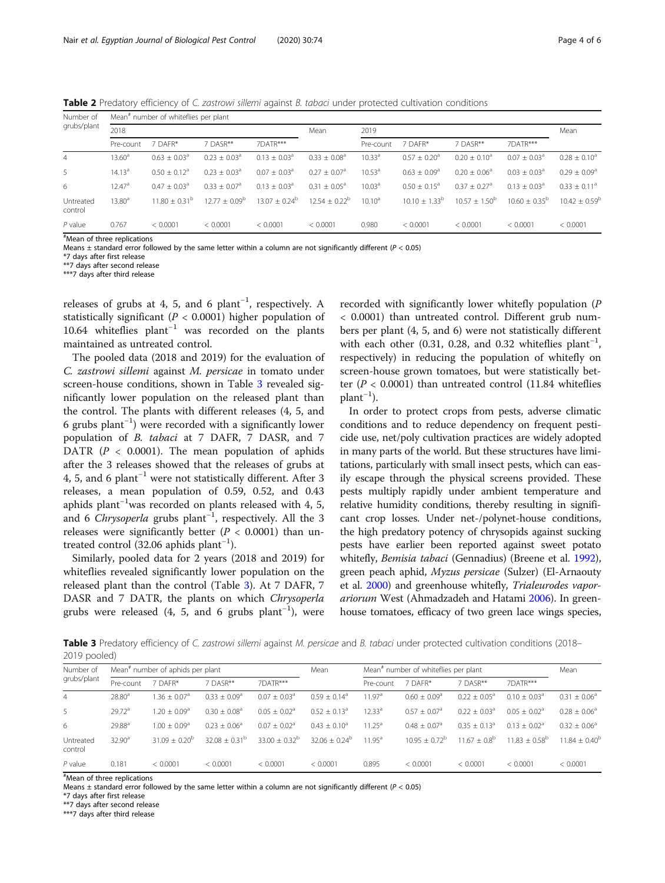<span id="page-3-0"></span>Table 2 Predatory efficiency of C. zastrowi sillemi against B. tabaci under protected cultivation conditions

| Number of<br>grubs/plant       | Mean <sup>#</sup> number of whiteflies per plant |                          |                              |                         |                              |                    |                            |                            |                              |                          |
|--------------------------------|--------------------------------------------------|--------------------------|------------------------------|-------------------------|------------------------------|--------------------|----------------------------|----------------------------|------------------------------|--------------------------|
|                                | 2018                                             |                          |                              |                         | Mean                         | 2019               |                            |                            |                              | Mean                     |
|                                | Pre-count                                        | 7 DAFR*                  | 7 DASR**                     | 7DATR***                |                              | Pre-count          | 7 DAFR*                    | 7 DASR**                   | 7DATR***                     |                          |
| $\overline{4}$                 | $13.60^{\circ}$                                  | $0.63 + 0.03a$           | $0.23 \pm 0.03^a$            | $0.13 \pm 0.03^{\circ}$ | $0.33 \pm 0.08^a$            | 10.33 <sup>a</sup> | $0.57 + 0.20$ <sup>a</sup> | $0.20 + 0.10a$             | $0.07 \pm 0.03$ <sup>a</sup> | $0.28 \pm 0.10^a$        |
| 5                              | 14.13 <sup>a</sup>                               | $0.50 + 0.12a$           | $0.23 \pm 0.03^a$            | $0.07 + 0.03a$          | $0.27 \pm 0.07$ <sup>a</sup> | 10.53 <sup>a</sup> | $0.63 \pm 0.09^a$          | $0.20 \pm 0.06^a$          | $0.03 \pm 0.03^a$            | $0.29 \pm 0.09^a$        |
| 6                              | 12.47 <sup>a</sup>                               | $0.47 + 0.03a$           | $0.33 \pm 0.07$ <sup>a</sup> | $0.13 + 0.03a$          | $0.31 + 0.05^a$              | 10.03 <sup>a</sup> | $0.50 + 0.15^{\circ}$      | $0.37 + 0.27$ <sup>a</sup> | $0.13 \pm 0.03^a$            | $0.33 \pm 0.11^a$        |
| Untreated<br>control           | 13.80 <sup>a</sup>                               | $11.80 \pm 0.31^{\circ}$ | $12.77 + 0.09^b$             | $13.07 + 0.24^b$        | $12.54 + 0.22^b$             | $10.10^a$          | $10.10 \pm 1.33^{\circ}$   | $10.57 + 1.50^b$           | $10.60 + 0.35^{b}$           | $10.42 \pm 0.59^{\circ}$ |
| $P$ value<br><b>CONTRACTOR</b> | 0.767                                            | < 0.0001                 | < 0.0001                     | < 0.0001                | < 0.0001                     | 0.980              | < 0.0001                   | < 0.0001                   | < 0.0001                     | < 0.0001                 |

# Mean of three replications

Means  $\pm$  standard error followed by the same letter within a column are not significantly different ( $P < 0.05$ )

\*7 days after first release

\*\*7 days after second release

\*\*\*7 days after third release

releases of grubs at 4, 5, and 6  $plant^{-1}$ , respectively. A statistically significant ( $P < 0.0001$ ) higher population of 10.64 whiteflies plant−<sup>1</sup> was recorded on the plants maintained as untreated control.

The pooled data (2018 and 2019) for the evaluation of C. zastrowi sillemi against M. persicae in tomato under screen-house conditions, shown in Table 3 revealed significantly lower population on the released plant than the control. The plants with different releases (4, 5, and 6 grubs plant−<sup>1</sup> ) were recorded with a significantly lower population of B. tabaci at 7 DAFR, 7 DASR, and 7 DATR  $(P < 0.0001)$ . The mean population of aphids after the 3 releases showed that the releases of grubs at 4, 5, and 6 plant−<sup>1</sup> were not statistically different. After 3 releases, a mean population of 0.59, 0.52, and 0.43 aphids plant−<sup>1</sup> was recorded on plants released with 4, 5, and 6 Chrysoperla grubs plant<sup>-1</sup>, respectively. All the 3 releases were significantly better  $(P < 0.0001)$  than untreated control (32.06 aphids plant<sup>-1</sup>).

Similarly, pooled data for 2 years (2018 and 2019) for whiteflies revealed significantly lower population on the released plant than the control (Table 3). At 7 DAFR, 7 DASR and 7 DATR, the plants on which Chrysoperla grubs were released (4, 5, and 6 grubs  $plant^{-1}$ ), were

recorded with significantly lower whitefly population (P < 0.0001) than untreated control. Different grub numbers per plant (4, 5, and 6) were not statistically different with each other (0.31, 0.28, and 0.32 whiteflies  $plant^{-1}$ , respectively) in reducing the population of whitefly on screen-house grown tomatoes, but were statistically better ( $P < 0.0001$ ) than untreated control (11.84 whiteflies plant−<sup>1</sup> ).

In order to protect crops from pests, adverse climatic conditions and to reduce dependency on frequent pesticide use, net/poly cultivation practices are widely adopted in many parts of the world. But these structures have limitations, particularly with small insect pests, which can easily escape through the physical screens provided. These pests multiply rapidly under ambient temperature and relative humidity conditions, thereby resulting in significant crop losses. Under net-/polynet-house conditions, the high predatory potency of chrysopids against sucking pests have earlier been reported against sweet potato whitefly, Bemisia tabaci (Gennadius) (Breene et al. [1992](#page-4-0)), green peach aphid, Myzus persicae (Sulzer) (El-Arnaouty et al. [2000](#page-5-0)) and greenhouse whitefly, Trialeurodes vaporariorum West (Ahmadzadeh and Hatami [2006](#page-4-0)). In greenhouse tomatoes, efficacy of two green lace wings species,

Table 3 Predatory efficiency of C. zastrowi sillemi against M. persicae and B. tabaci under protected cultivation conditions (2018– 2019 pooled)

| Number of<br>grubs/plant | Mean <sup>#</sup> number of aphids per plant |                            |                              |                         | Mean             | Mean <sup>#</sup> number of whiteflies per plant |                            |                 |                         | Mean               |
|--------------------------|----------------------------------------------|----------------------------|------------------------------|-------------------------|------------------|--------------------------------------------------|----------------------------|-----------------|-------------------------|--------------------|
|                          | Pre-count                                    | 7 DAFR*                    | 7 DASR**                     | 7DATR***                |                  | Pre-count                                        | 7 DAFR*                    | 7 DASR**        | 7DATR***                |                    |
| 4                        | 28.80 <sup>a</sup>                           | $1.36 + 0.07$ <sup>a</sup> | $0.33 \pm 0.09^{\circ}$      | $0.07 + 0.03a$          | $0.59 + 0.14^a$  | 11.97 <sup>a</sup>                               | $0.60 + 0.09a$             | $0.22 + 0.05^a$ | $0.10 \pm 0.03^{\circ}$ | $0.31 \pm 0.06^a$  |
| 5                        | 29.72 <sup>a</sup>                           | $1.20 + 0.09a$             | $0.30 \pm 0.08$ <sup>a</sup> | $0.05 \pm 0.02^{\circ}$ | $0.52 + 0.13a$   | 12.33 <sup>a</sup>                               | $0.57 + 0.07$ <sup>a</sup> | $0.22 + 0.03a$  | $0.05 \pm 0.02^{\circ}$ | $0.28 \pm 0.06^a$  |
| 6                        | $29.88^{a}$                                  | $1.00 + 0.09a$             | $0.23 + 0.06^a$              | $0.07 + 0.02a$          | $0.43 + 0.10a$   | $11.25^a$                                        | $0.48 + 0.07a$             | $0.35 + 0.13^a$ | $0.13 \pm 0.02^{\circ}$ | $0.32 + 0.06^a$    |
| Untreated<br>control     | 32.90 <sup>a</sup>                           | $31.09 + 0.20^{b}$         | $32.08 + 0.31^{b}$           | $33.00 + 0.32^{b}$      | $32.06 + 0.24^b$ | $11.95^a$                                        | $10.95 + 0.72^{\circ}$     | $11.67 + 0.8^b$ | $11.83 + 0.58^b$        | $11.84 + 0.40^{b}$ |
| $P$ value                | 0.181                                        | < 0.0001                   | < 0.0001                     | < 0.0001                | < 0.0001         | 0.895                                            | < 0.0001                   | < 0.0001        | < 0.0001                | < 0.0001           |

# Mean of three replications

Means  $\pm$  standard error followed by the same letter within a column are not significantly different ( $P < 0.05$ )

\*7 days after first release

\*\*7 days after second release

\*\*\*7 days after third release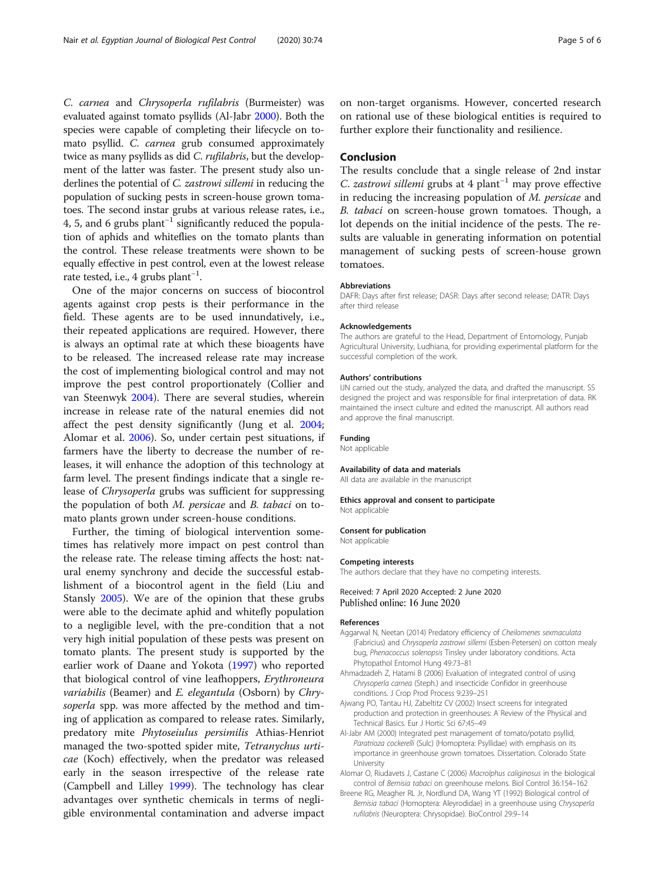<span id="page-4-0"></span>C. carnea and Chrysoperla rufilabris (Burmeister) was evaluated against tomato psyllids (Al-Jabr 2000). Both the species were capable of completing their lifecycle on tomato psyllid. C. *carnea* grub consumed approximately twice as many psyllids as did C. rufilabris, but the development of the latter was faster. The present study also underlines the potential of C. zastrowi sillemi in reducing the population of sucking pests in screen-house grown tomatoes. The second instar grubs at various release rates, i.e., 4, 5, and 6 grubs plant−<sup>1</sup> significantly reduced the population of aphids and whiteflies on the tomato plants than the control. These release treatments were shown to be equally effective in pest control, even at the lowest release rate tested, i.e., 4 grubs plant−<sup>1</sup> .

One of the major concerns on success of biocontrol agents against crop pests is their performance in the field. These agents are to be used innundatively, i.e., their repeated applications are required. However, there is always an optimal rate at which these bioagents have to be released. The increased release rate may increase the cost of implementing biological control and may not improve the pest control proportionately (Collier and van Steenwyk [2004](#page-5-0)). There are several studies, wherein increase in release rate of the natural enemies did not affect the pest density significantly (Jung et al. [2004](#page-5-0); Alomar et al. 2006). So, under certain pest situations, if farmers have the liberty to decrease the number of releases, it will enhance the adoption of this technology at farm level. The present findings indicate that a single release of Chrysoperla grubs was sufficient for suppressing the population of both M. persicae and B. tabaci on tomato plants grown under screen-house conditions.

Further, the timing of biological intervention sometimes has relatively more impact on pest control than the release rate. The release timing affects the host: natural enemy synchrony and decide the successful establishment of a biocontrol agent in the field (Liu and Stansly [2005\)](#page-5-0). We are of the opinion that these grubs were able to the decimate aphid and whitefly population to a negligible level, with the pre-condition that a not very high initial population of these pests was present on tomato plants. The present study is supported by the earlier work of Daane and Yokota ([1997](#page-5-0)) who reported that biological control of vine leafhoppers, Erythroneura variabilis (Beamer) and E. elegantula (Osborn) by Chrysoperla spp. was more affected by the method and timing of application as compared to release rates. Similarly, predatory mite Phytoseiulus persimilis Athias-Henriot managed the two-spotted spider mite, Tetranychus urticae (Koch) effectively, when the predator was released early in the season irrespective of the release rate (Campbell and Lilley [1999\)](#page-5-0). The technology has clear advantages over synthetic chemicals in terms of negligible environmental contamination and adverse impact

on non-target organisms. However, concerted research on rational use of these biological entities is required to further explore their functionality and resilience.

# Conclusion

The results conclude that a single release of 2nd instar C. zastrowi sillemi grubs at 4 plant<sup>-1</sup> may prove effective in reducing the increasing population of M. persicae and B. tabaci on screen-house grown tomatoes. Though, a lot depends on the initial incidence of the pests. The results are valuable in generating information on potential management of sucking pests of screen-house grown tomatoes.

#### Abbreviations

DAFR: Days after first release; DASR: Days after second release; DATR: Days after third release

#### Acknowledgements

The authors are grateful to the Head, Department of Entomology, Punjab Agricultural University, Ludhiana, for providing experimental platform for the successful completion of the work.

#### Authors' contributions

IJN carried out the study, analyzed the data, and drafted the manuscript. SS designed the project and was responsible for final interpretation of data. RK maintained the insect culture and edited the manuscript. All authors read and approve the final manuscript.

#### Funding

Not applicable

#### Availability of data and materials

All data are available in the manuscript

#### Ethics approval and consent to participate Not applicable

# Consent for publication

Not applicable

#### Competing interests

The authors declare that they have no competing interests.

#### Received: 7 April 2020 Accepted: 2 June 2020 Published online: 16 June 2020

#### References

- Aggarwal N, Neetan (2014) Predatory efficiency of Cheilomenes sexmaculata (Fabricius) and Chrysoperla zastrowi sillemi (Esben-Petersen) on cotton mealy bug, Phenacoccus solenopsis Tinsley under laboratory conditions. Acta Phytopathol Entomol Hung 49:73–81
- Ahmadzadeh Z, Hatami B (2006) Evaluation of integrated control of using Chrysoperla carnea (Steph.) and insecticide Confidor in greenhouse conditions. J Crop Prod Process 9:239–251
- Ajwang PO, Tantau HJ, Zabeltitz CV (2002) Insect screens for integrated production and protection in greenhouses: A Review of the Physical and Technical Basics. Eur J Hortic Sci 67:45–49
- Al-Jabr AM (2000) Integrated pest management of tomato/potato psyllid, Paratrioza cockerelli (Sulc) (Homoptera: Psyllidae) with emphasis on its importance in greenhouse grown tomatoes. Dissertation. Colorado State University
- Alomar O, Riudavets J, Castane C (2006) Macrolphus caliginosus in the biological control of Bemisia tabaci on greenhouse melons. Biol Control 36:154–162
- Breene RG, Meagher RL Jr, Nordlund DA, Wang YT (1992) Biological control of Bemisia tabaci (Homoptera: Aleyrodidae) in a greenhouse using Chrysoperla rufilabris (Neuroptera: Chrysopidae). BioControl 29:9–14